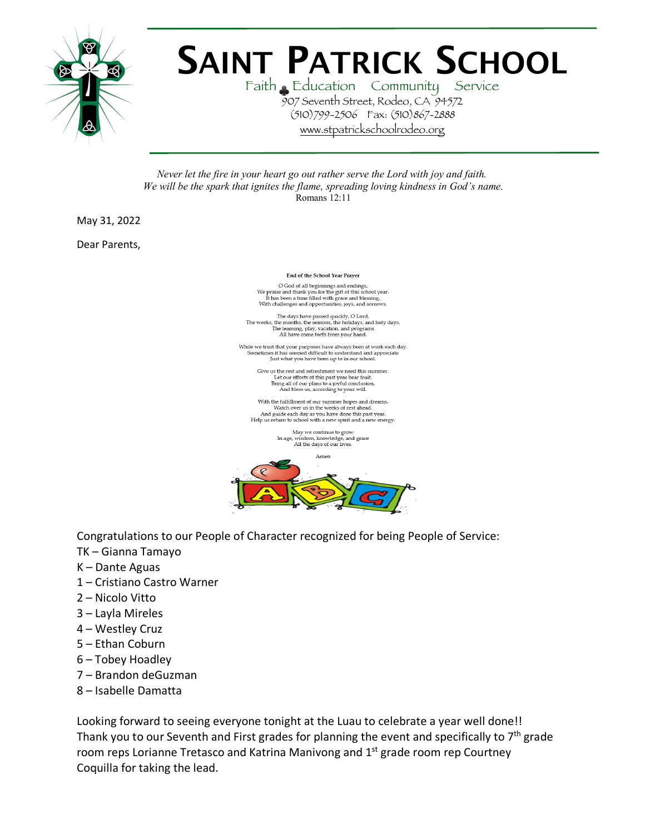

## **SAINT PATRICK SCHOOL**

Faith Education Community Service 907 Seventh Street, Rodeo, CA 94572 (510)799-2506 Fax: (510)867-2888 www.stpatrickschoolrodeo.org

*Never let the fire in your heart go out rather serve the Lord with joy and faith. We will be the spark that ignites the flame, spreading loving kindness in God's name.* Romans 12:11

May 31, 2022

Dear Parents,

End of the School Year Prayer

 $$\sf O$  God of all beginnings and endings, We praise and thank you for the gift of this school year. It has been a time filled with grace and blessing. With challenges and opportunities, joys, and sorrows.

 $\label{thm:main}$  The days have passed quickly, O Lord. <br> The weeks, the months, the seasons, the holidays, and holy days. <br> The learning, play, vacation, and programs All have come forth from your hand.

Give us the rest and refreshment we need this summer. Let our efforts of this past we need uns sum<br>that the during all of our plans to a joyful conclusion,<br>And bless us, according to your will.

With the fulfillment of our summer hopes and dreams. When we can<br>implied to the weeks of rest ahead.<br>And guide each day as you have done this past year.<br>Help us return to school with a new spirit and a new energy.

> May we continue to grow In age, wisdom, knowledge, and grace<br>All the days of our lives.



Congratulations to our People of Character recognized for being People of Service:

- TK Gianna Tamayo
- K Dante Aguas
- 1 Cristiano Castro Warner
- 2 Nicolo Vitto
- 3 Layla Mireles
- 4 Westley Cruz
- 5 Ethan Coburn
- 6 Tobey Hoadley
- 7 Brandon deGuzman
- 8 Isabelle Damatta

Looking forward to seeing everyone tonight at the Luau to celebrate a year well done!! Thank you to our Seventh and First grades for planning the event and specifically to  $7<sup>th</sup>$  grade room reps Lorianne Tretasco and Katrina Manivong and 1<sup>st</sup> grade room rep Courtney Coquilla for taking the lead.